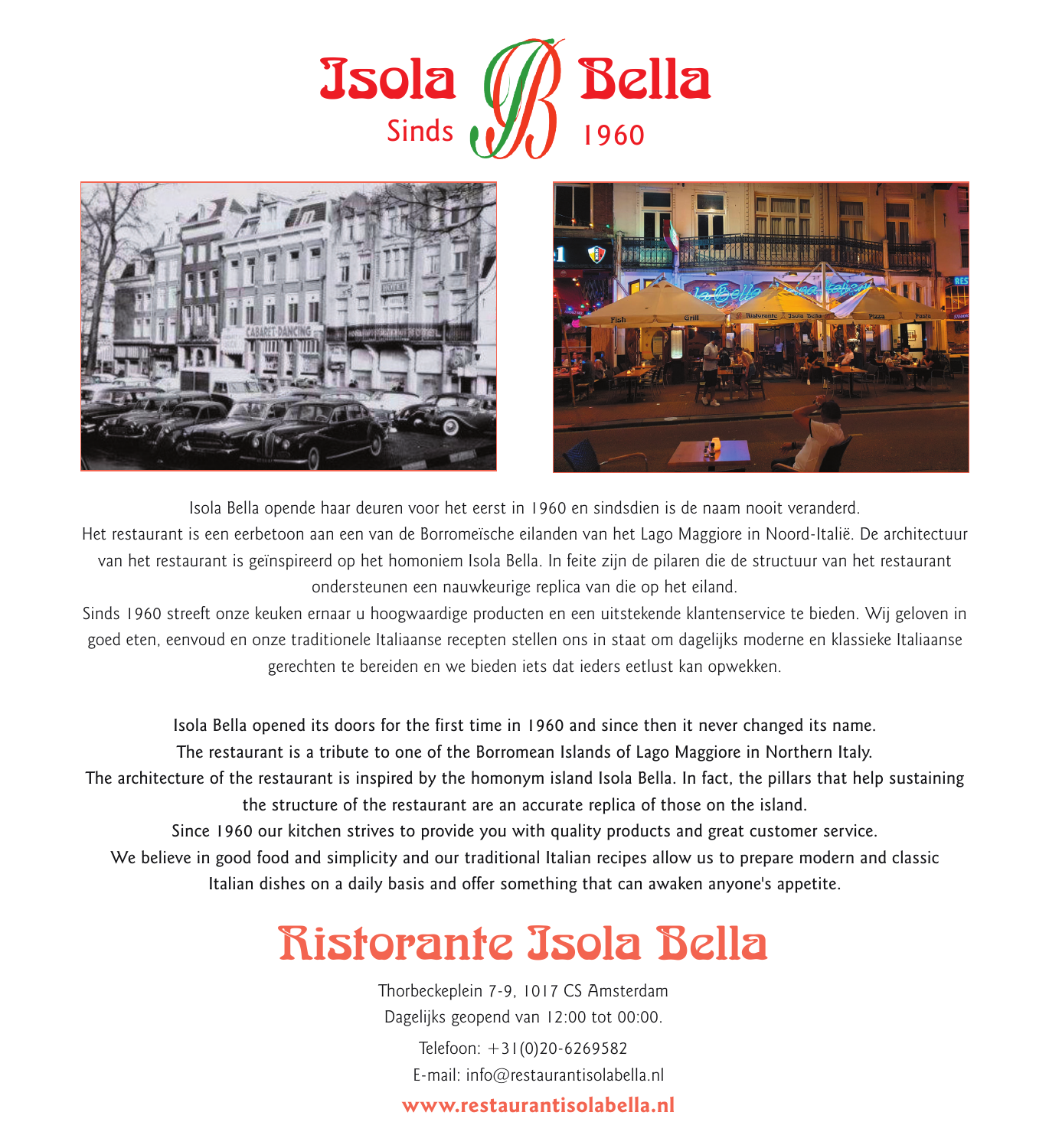





Isola Bella opende haar deuren voor het eerst in 1960 en sindsdien is de naam nooit veranderd.

Het restaurant is een eerbetoon aan een van de Borromeïsche eilanden van het Lago Maggiore in Noord-Italië. De architectuur van het restaurant is geïnspireerd op het homoniem Isola Bella. In feite zijn de pilaren die de structuur van het restaurant ondersteunen een nauwkeurige replica van die op het eiland.

Sinds 1960 streeft onze keuken ernaar u hoogwaardige producten en een uitstekende klantenservice te bieden. Wij geloven in goed eten, eenvoud en onze traditionele Italiaanse recepten stellen ons in staat om dagelijks moderne en klassieke Italiaanse gerechten te bereiden en we bieden iets dat ieders eetlust kan opwekken.

Isola Bella opened its doors for the first time in 1960 and since then it never changed its name. The restaurant is a tribute to one of the Borromean Islands of Lago Maggiore in Northern Italy. The architecture of the restaurant is inspired by the homonym island Isola Bella. In fact, the pillars that help sustaining the structure of the restaurant are an accurate replica of those on the island. Since 1960 our kitchen strives to provide you with quality products and great customer service. We believe in good food and simplicity and our traditional Italian recipes allow us to prepare modern and classic Italian dishes on a daily basis and offer something that can awaken anyone's appetite.

# Ristorante Isola Bella

Thorbeckeplein 7-9, 1017 CS Amsterdam Dagelijks geopend van 12:00 tot 00:00.

> Telefoon: +31(0)20-6269582 E-mail: info@restaurantisolabella.nl

**www.restaurantisolabella.nl**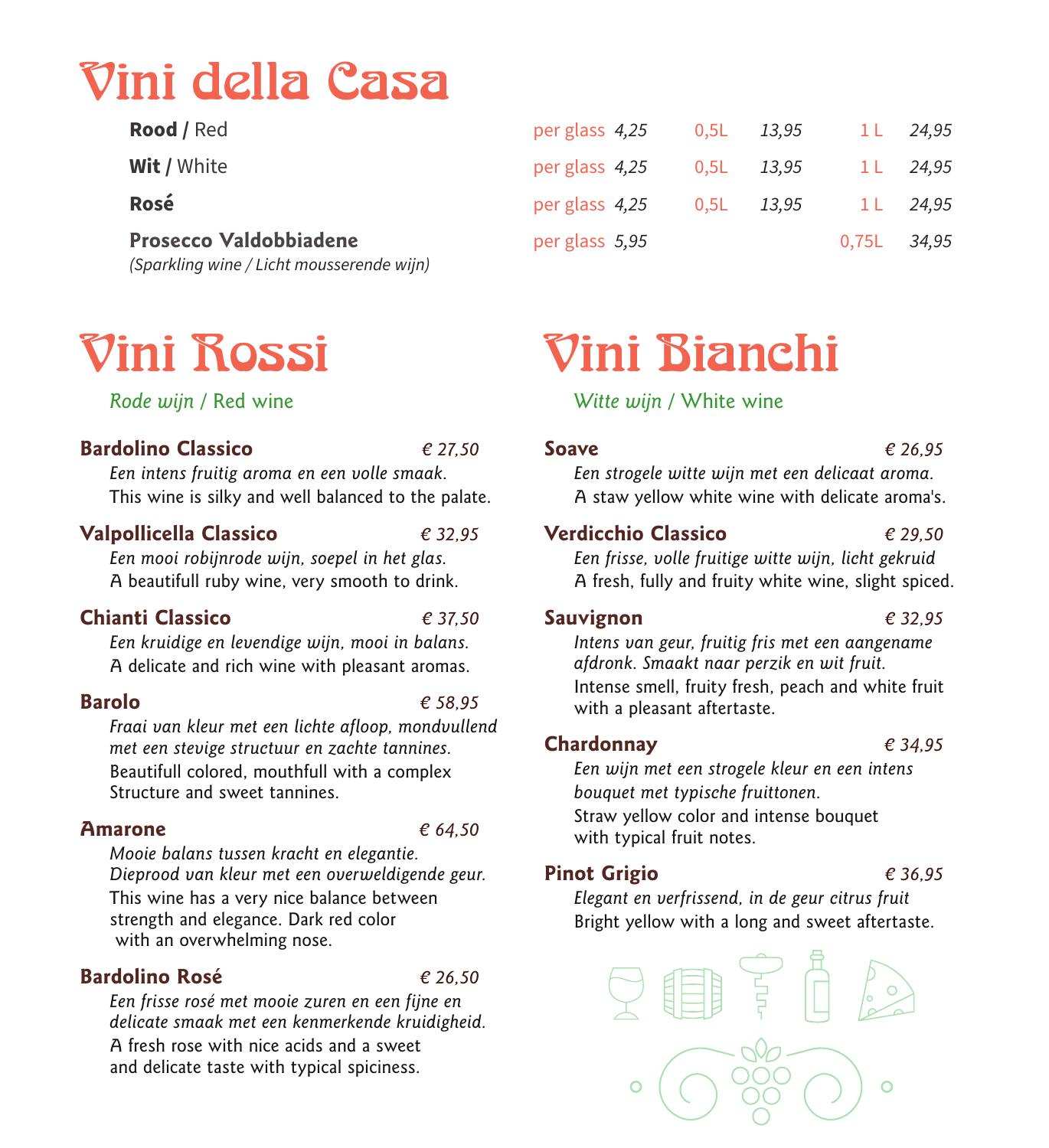# Vini della Casa

*(Sparkling wine / Licht mousserende wijn)*

## **Rood /** Red per glass *4,25* 0,5L *13,95* 1 L *24,95* **Wit /** White per glass *4,25* 0,5L *13,95* 1 L *24,95* **Rosé** per glass *4,25* 0,5L *13,95* 1 L *24,95* **Prosecco Valdobbiadene** per glass *5,95* 0,75L *34,95*

# Vini Rossi

*Rode wijn* / Red wine

### **Bardolino Classico** *€ 27,50*

*Een intens fruitig aroma en een volle smaak.*  This wine is silky and well balanced to the palate.

### **Valpollicella Classico** *€ 32,95*

*Een mooi robijnrode wijn, soepel in het glas.*  A beautifull ruby wine, very smooth to drink.

### **Chianti Classico** *€ 37,50*

*Een kruidige en levendige wijn, mooi in balans.*  A delicate and rich wine with pleasant aromas.

### **Barolo** *€ 58,95*

*Fraai van kleur met een lichte afloop, mondvullend met een stevige structuur en zachte tannines.*  Beautifull colored, mouthfull with a complex Structure and sweet tannines.

### **Amarone** *€ 64,50*

*Mooie balans tussen kracht en elegantie. Dieprood van kleur met een overweldigende geur.*  This wine has a very nice balance between strength and elegance. Dark red color with an overwhelming nose.

### **Bardolino Rosé** *€ 26,50*

*Een frisse rosé met mooie zuren en een fijne en delicate smaak met een kenmerkende kruidigheid.*  A fresh rose with nice acids and a sweet and delicate taste with typical spiciness.

# Vini Bianchi

### *Witte wijn* / White wine

### **Soave** *€ 26,95*

*Een strogele witte wijn met een delicaat aroma.*  A staw yellow white wine with delicate aroma's.

### **Verdicchio Classico** *€ 29,50*

*Een frisse, volle fruitige witte wijn, licht gekruid*  A fresh, fully and fruity white wine, slight spiced.

### **Sauvignon** *€ 32,95*

*Intens van geur, fruitig fris met een aangename afdronk. Smaakt naar perzik en wit fruit.* Intense smell, fruity fresh, peach and white fruit with a pleasant aftertaste.

### **Chardonnay** *€ 34,95*

*Een wijn met een strogele kleur en een intens bouquet met typische fruittonen.* Straw yellow color and intense bouquet with typical fruit notes.

### **Pinot Grigio** *€ 36,95*

*Elegant en verfrissend, in de geur citrus fruit*  Bright yellow with a long and sweet aftertaste.

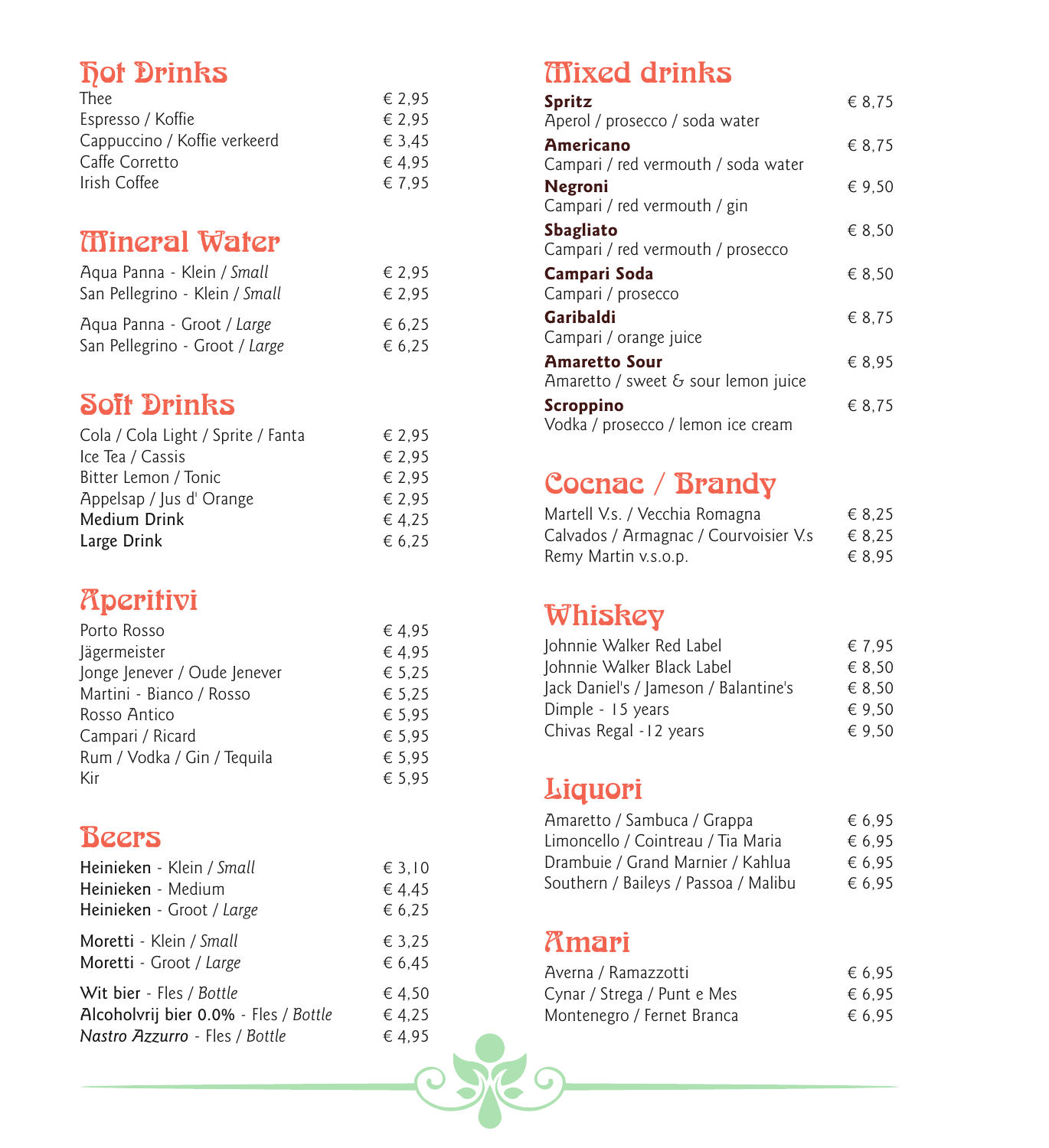# **Fot Drinks**

### € 2,95<br>€ 2,95 Espresso / Koffie  $\epsilon$  2,95<br>Cappuccino / Koffie verkeerd  $\epsilon$  3,45 Cappuccino / Koffie verkeerd  $\epsilon$  3,45<br>Caffe Corretto  $\epsilon$  4,95 Caffe Corretto  $\epsilon$  4,95<br>Irish Coffee  $\epsilon$  7,95 Irish Coffee

## Mineral Water

| Agua Panna - Klein / Small     | € 2.95 |
|--------------------------------|--------|
| San Pellegrino - Klein / Small | € 2.95 |
| Aqua Panna - Groot / Large     | € 6.25 |
| San Pellegrino - Groot / Large | € 6,25 |

## Soft Drinks

| Cola / Cola Light / Sprite / Fanta | € 2.95 |
|------------------------------------|--------|
| Ice Tea / Cassis                   | € 2.95 |
| Bitter Lemon / Tonic               | € 2.95 |
| Appelsap / Jus d' Orange           | € 2.95 |
| Medium Drink                       | €4.25  |
| Large Drink                        | € 6.25 |

# **Aperitivi**

| Porto Rosso                  | €4.95  |
|------------------------------|--------|
| Jägermeister                 | €4.95  |
| Jonge Jenever / Oude Jenever | € 5,25 |
| Martini - Bianco / Rosso     | € 5.25 |
| Rosso Antico                 | € 5.95 |
| Campari / Ricard             | € 5.95 |
| Rum / Vodka / Gin / Tequila  | € 5.95 |
| Kir                          | € 5.95 |

## Beers

| Heinieken - Klein / Small             | $\epsilon$ 3.10 |
|---------------------------------------|-----------------|
| Heinieken - Medium                    | € 4,45          |
| Heinieken - Groot / Large             | € 6,25          |
| Moretti - Klein / Small               | € 3.25          |
| Moretti - Groot / Large               | € 6.45          |
| Wit bier - Fles / Bottle              | €4.50           |
| Alcoholvrij bier 0.0% - Fles / Bottle | €4.25           |
| Nastro Azzurro - Fles / Bottle        | €4.95           |

## Mixed drinks

| <b>Spritz</b><br>Aperol / prosecco / soda water                                                | € 8.75 |
|------------------------------------------------------------------------------------------------|--------|
| <b>Americano</b><br>Campari / red vermouth / soda water                                        | € 8.75 |
| <b>Negroni</b><br>Campari / red vermouth / gin                                                 | € 9.50 |
| <b>Sbagliato</b><br>Campari / red vermouth / prosecco                                          | € 8.50 |
| Campari Soda<br>Campari / prosecco                                                             | € 8.50 |
|                                                                                                |        |
| Garibaldi                                                                                      | € 8.75 |
| Campari / orange juice<br><b>Amaretto Sour</b><br>Amaretto / sweet $\epsilon$ sour lemon juice | € 8.95 |

## Cocnac / Brandy

| Martell V.s. / Vecchia Romagna        | € 8.25 |
|---------------------------------------|--------|
| Calvados / Armagnac / Courvoisier V.s | € 8.25 |
| Remy Martin v.s.o.p.                  | € 8.95 |

## Whiskey

| Johnnie Walker Red Label              | € 7.95          |
|---------------------------------------|-----------------|
| Johnnie Walker Black Label            | € 8.50          |
| Jack Daniel's / Jameson / Balantine's | € 8.50          |
| Dimple - 15 years                     | $\epsilon$ 9.50 |
| Chivas Regal - 12 years               | $\epsilon$ 9.50 |

## Liquori

| Amaretto / Sambuca / Grappa          | € 6.95 |
|--------------------------------------|--------|
| Limoncello / Cointreau / Tia Maria   | € 6.95 |
| Drambuie / Grand Marnier / Kahlua    | € 6.95 |
| Southern / Baileys / Passoa / Malibu | € 6.95 |

## Amari

| Averna / Ramazzotti         | € 6.95 |
|-----------------------------|--------|
| Cynar / Strega / Punt e Mes | € 6.95 |
| Montenegro / Fernet Branca  | € 6.95 |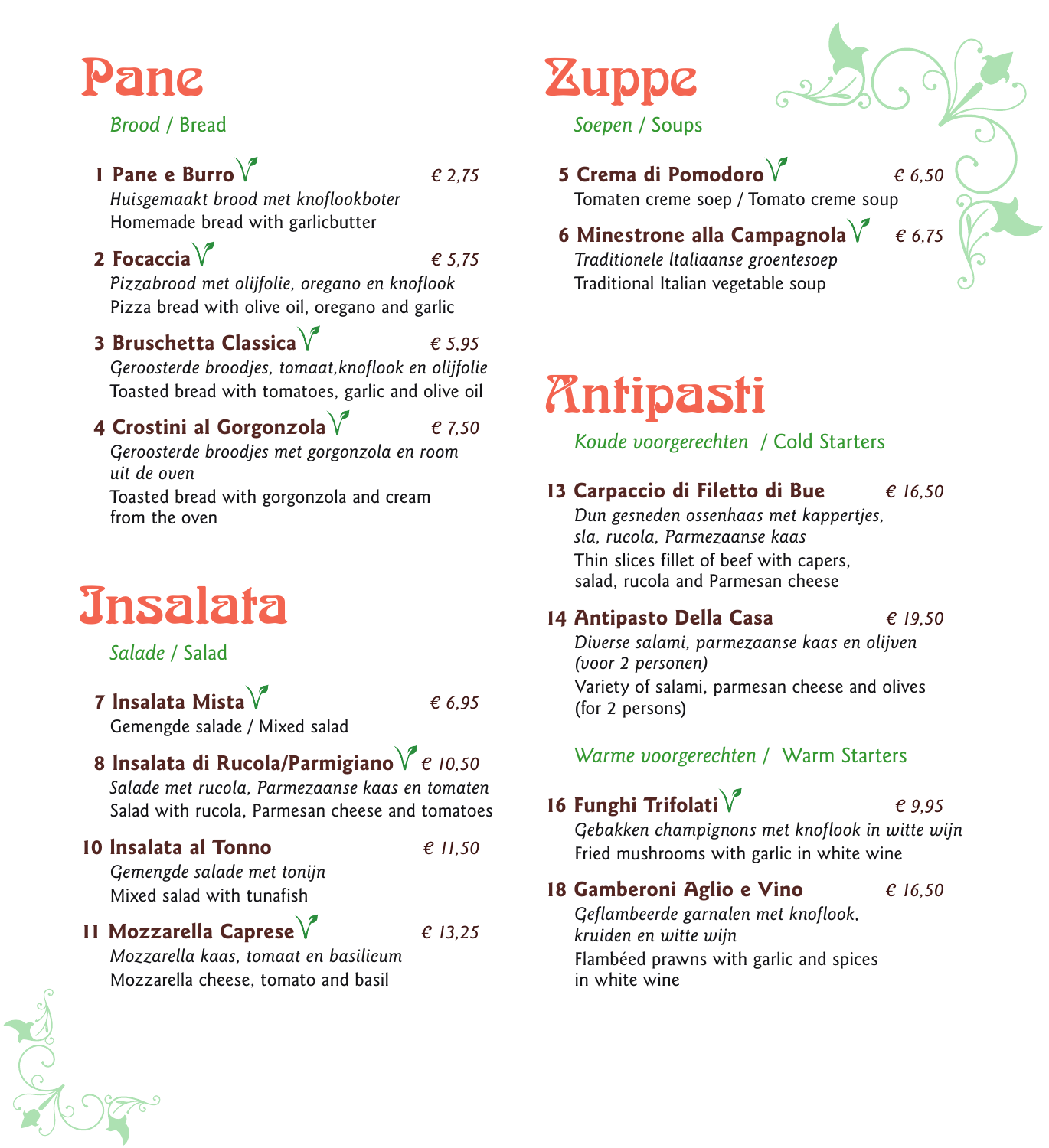# ne.

### *Brood* / Bread

### **1 Pane e Burro**  $\sqrt{\frac{2}{1}}$  *€ 2.75*

*Huisgemaakt brood met knoflookboter* Homemade bread with garlicbutter

**2 Focaccia**  $\sqrt{ }$  *e* 5,75 *Pizzabrood met olijfolie, oregano en knoflook*

Pizza bread with olive oil, oregano and garlic

 **3 Bruschetta Classica** *€ 5,95*

*Geroosterde broodjes, tomaat,knoflook en olijfolie* Toasted bread with tomatoes, garlic and olive oil

### **4 Crostini al Gorgonzola** *€ 7,50*

*Geroosterde broodjes met gorgonzola en room uit de oven* Toasted bread with gorgonzola and cream from the oven

# Insalata

*Salade* / Salad

**7 lnsalata Mista**  $\sqrt{\phantom{a}}$  *€ 6.95* Gemengde salade / Mixed salad

### **8 lnsalata di Rucola/Parmigiano** *€ 10,50*

*Salade met rucola, Parmezaanse kaas en tomaten* Salad with rucola, Parmesan cheese and tomatoes

### **10 lnsalata al Tonno** *€ 11,50*

*Gemengde salade met tonijn* Mixed salad with tunafish

### **11 Mozzarella Caprese** *€ 13,25*

*Mozzarella kaas, tomaat en basilicum* Mozzarella cheese, tomato and basil

# **Zuppe** *Soepen* / Soups

 **5 Crema di Pomodoro** *€ 6,50* Tomaten creme soep / Tomato creme soup

### **6 Minestrone alla Campagnola** *€ 6,75 Traditionele ltaliaanse groentesoep* Traditional Italian vegetable soup

# Antipasti

*Koude voorgerechten* / Cold Starters

### **13 Carpaccio di Filetto di Bue** *€ 16,50*

*Dun gesneden ossenhaas met kappertjes, sla, rucola, Parmezaanse kaas*  Thin slices fillet of beef with capers, salad, rucola and Parmesan cheese

**14 Antipasto Della Casa** *€ 19,50*

*Diverse salami, parmezaanse kaas en olijven (voor 2 personen)* Variety of salami, parmesan cheese and olives (for 2 persons)

### *Warme voorgerechten* / Warm Starters

### **16 Funghi Trifolati** *€ 9,95*

*Gebakken champignons met knoflook in witte wijn*  Fried mushrooms with garlic in white wine

### **18 Gamberoni Aglio e Vino** *€ 16,50*

*Geflambeerde garnalen met knoflook, kruiden en witte wijn* Flambéed prawns with garlic and spices in white wine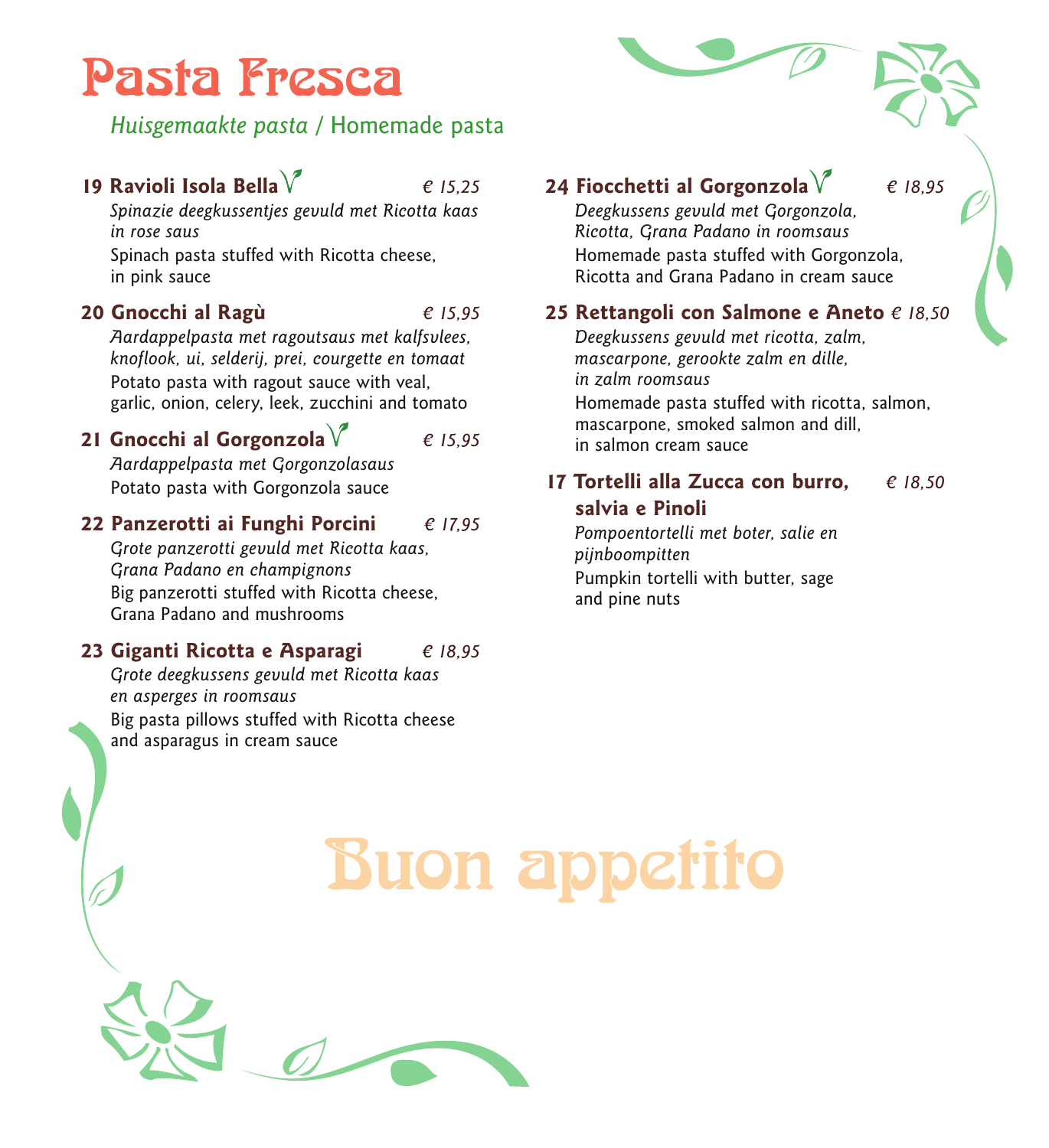# Pasta Fresca

### *Huisgemaakte pasta* / Homemade pasta

### **19 Ravioli Isola Bella** *€ 15,25*

*Spinazie deegkussentjes gevuld met Ricotta kaas in rose saus* 

Spinach pasta stuffed with Ricotta cheese, in pink sauce

### **20 Gnocchi al Ragù** *€ 15,95*

*Aardappelpasta met ragoutsaus met kalfsvlees, knoflook, ui, selderij, prei, courgette en tomaat*  Potato pasta with ragout sauce with veal, garlic, onion, celery, leek, zucchini and tomato

**21 Gnocchi al Gorgonzola** *€ 15,95*

*Aardappelpasta met Gorgonzolasaus*  Potato pasta with Gorgonzola sauce

**22 Panzerotti ai Funghi Porcini** *€ 17,95 Grote panzerotti gevuld met Ricotta kaas,*

*Grana Padano en champignons*  Big panzerotti stuffed with Ricotta cheese, Grana Padano and mushrooms

### **23 Giganti Ricotta e Asparagi** *€ 18,95*

*Grote deegkussens gevuld met Ricotta kaas en asperges in roomsaus*  Big pasta pillows stuffed with Ricotta cheese and asparagus in cream sauce

### **24 Fiocchetti al Gorgonzola** *€ 18,95*

*Deegkussens gevuld met Gorgonzola, Ricotta, Grana Padano in roomsaus* Homemade pasta stuffed with Gorgonzola, Ricotta and Grana Padano in cream sauce

### **25 Rettangoli con Salmone e Aneto** *€ 18,50*

*Deegkussens gevuld met ricotta, zalm, mascarpone, gerookte zalm en dille, in zalm roomsaus* Homemade pasta stuffed with ricotta, salmon, mascarpone, smoked salmon and dill, in salmon cream sauce

### **17 Tortelli alla Zucca con burro,** *€ 18,50* **salvia e Pinoli**

*Pompoentortelli met boter, salie en pijnboompitten* Pumpkin tortelli with butter, sage and pine nuts

# Buon appetito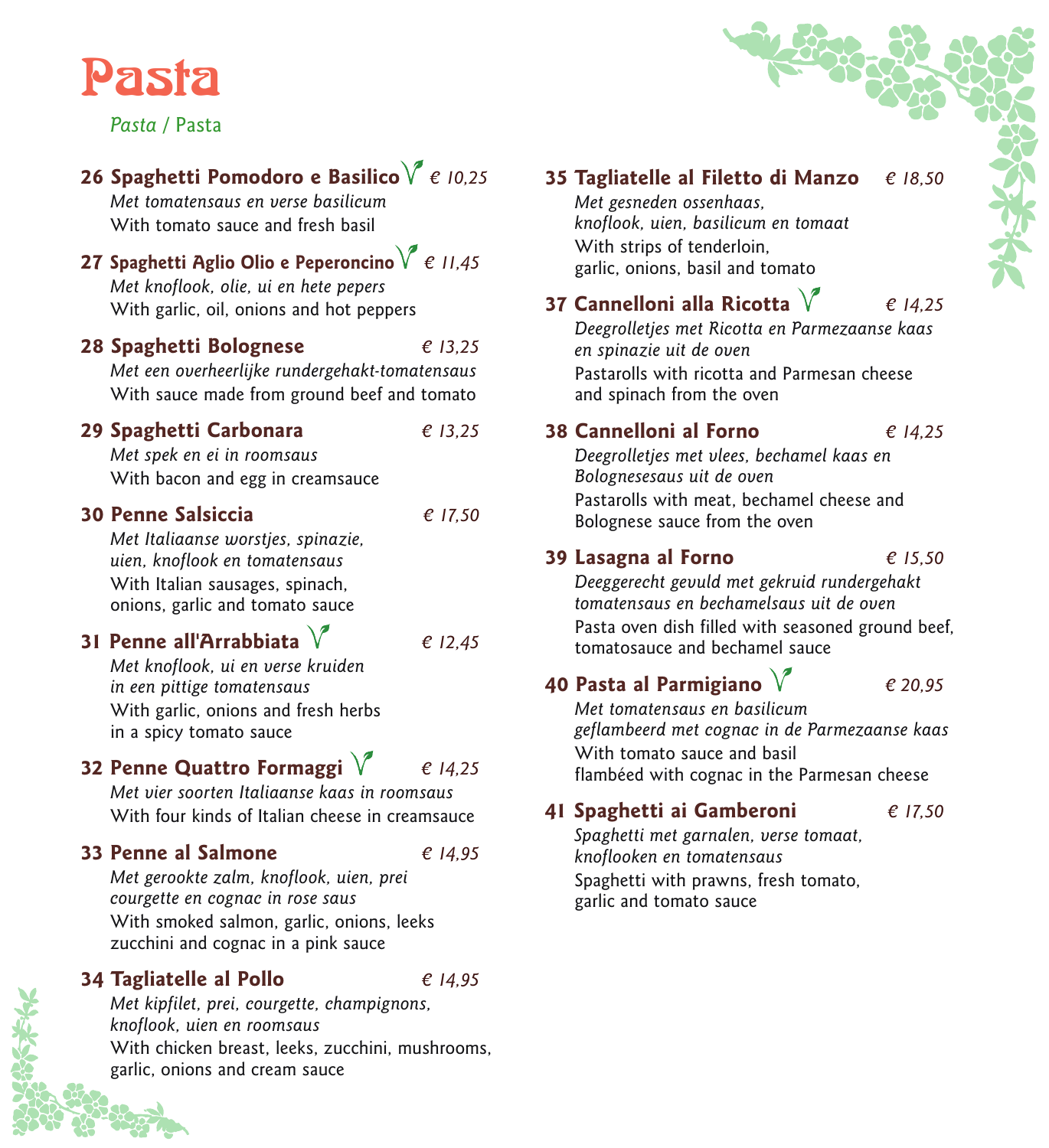

*Pasta* / Pasta

### **26 Spaghetti Pomodoro e Basilico** *€ 10,25 Met tomatensaus en verse basilicum* With tomato sauce and fresh basil **27 Spaghetti Aglio Olio e Peperoncino** *€ 11,45 Met knoflook, olie, ui en hete pepers* With garlic, oil, onions and hot peppers **28 Spaghetti Bolognese** *€ 13,25 Met een overheerlijke rundergehakt-tomatensaus* With sauce made from ground beef and tomato **29 Spaghetti Carbonara** *€ 13,25 Met spek en ei in roomsaus* With bacon and egg in creamsauce **30 Penne Salsiccia** *€ 17,50 Met Italiaanse worstjes, spinazie, uien, knoflook en tomatensaus* With Italian sausages, spinach, onions, garlic and tomato sauce **31 Penne all'Arrabbiata** *€ 12,45 Met knoflook, ui en verse kruiden in een pittige tomatensaus* With garlic, onions and fresh herbs in a spicy tomato sauce **32 Penne Quattro Formaggi** *€ 14,25 Met vier soorten Italiaanse kaas in roomsaus* With four kinds of Italian cheese in creamsauce **33 Penne al Salmone** *€ 14,95 Met gerookte zalm, knoflook, uien, prei courgette en cognac in rose saus* With smoked salmon, garlic, onions, leeks zucchini and cognac in a pink sauce **34 Tagliatelle al Pollo** *€ 14,95 Met kipfilet, prei, courgette, champignons,*

*knoflook, uien en roomsaus* With chicken breast, leeks, zucchini, mushrooms, garlic, onions and cream sauce

### **35 Tagliatelle al Filetto di Manzo** *€ 18,50*

*Met gesneden ossenhaas, knoflook, uien, basilicum en tomaat* With strips of tenderloin, garlic, onions, basil and tomato

## **37 Cannelloni alla Ricotta** *€ 14,25*

*Deegrolletjes met Ricotta en Parmezaanse kaas en spinazie uit de oven* Pastarolls with ricotta and Parmesan cheese and spinach from the oven

**38 Cannelloni al Forno** *€ 14,25*

*Deegrolletjes met vlees, bechamel kaas en Bolognesesaus uit de oven* Pastarolls with meat, bechamel cheese and Bolognese sauce from the oven

### **39 Lasagna al Forno** *€ 15,50*

*Deeggerecht gevuld met gekruid rundergehakt tomatensaus en bechamelsaus uit de oven* Pasta oven dish filled with seasoned ground beef, tomatosauce and bechamel sauce

## **40 Pasta al Parmigiano** *€ 20,95*

*Met tomatensaus en basilicum geflambeerd met cognac in de Parmezaanse kaas* With tomato sauce and basil flambéed with cognac in the Parmesan cheese

**41 Spaghetti ai Gamberoni** *€ 17,50*

*Spaghetti met garnalen, verse tomaat, knoflooken en tomatensaus* Spaghetti with prawns, fresh tomato, garlic and tomato sauce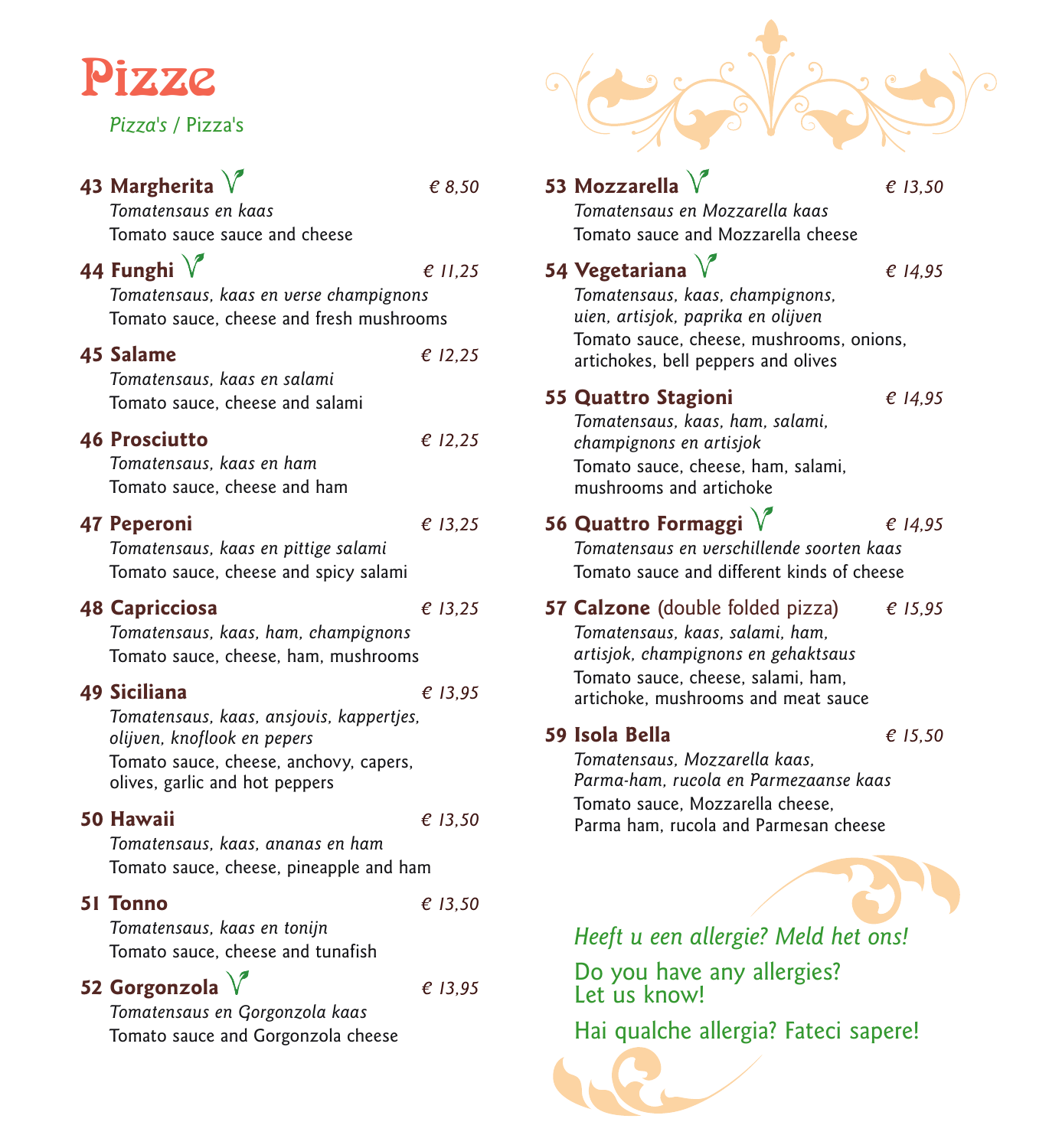# Pizze

*Pizza's* / Pizza's

### **43 Margherita** *€ 8,50*

*Tomatensaus en kaas* Tomato sauce sauce and cheese

### **44 Funghi** *€ 11,25*

*Tomatensaus, kaas en verse champignons* Tomato sauce, cheese and fresh mushrooms

| 45 Salame                                                                                                                                | € 12,25 |
|------------------------------------------------------------------------------------------------------------------------------------------|---------|
| Tomatensaus, kaas en salami<br>Tomato sauce, cheese and salami                                                                           |         |
| <b>46 Prosciutto</b><br>Tomatensaus, kaas en ham<br>Tomato sauce, cheese and ham                                                         | € 12,25 |
| 47 Peperoni<br>Tomatensaus, kaas en pittige salami<br>Tomato sauce, cheese and spicy salami                                              | € 13.25 |
| <b>48 Capricciosa</b><br>Tomatensaus, kaas, ham, champignons<br>Tomato sauce, cheese, ham, mushrooms                                     | € 13.25 |
| <b>49 Siciliana</b><br>Tomatensaus, kaas, ansjovis, kappertjes,<br>olijven, knoflook en pepers<br>Tomato sauce, cheese, anchovy, capers, | € 13.95 |

olives, garlic and hot peppers

### **50 Hawaii** *€ 13,50*

*Tomatensaus, kaas, ananas en ham* Tomato sauce, cheese, pineapple and ham

### **51 Tonno** *€ 13,50*

*Tomatensaus, kaas en tonijn* Tomato sauce, cheese and tunafish

**52 Gorgonzola** *€ 13,95*

*Tomatensaus en Gorgonzola kaas* Tomato sauce and Gorgonzola cheese

### *Heeft u een allergie? Meld het ons!* Do you have any allergies? Let us know! **53 Mozzarella** *€ 13,50 Tomatensaus en Mozzarella kaas* Tomato sauce and Mozzarella cheese **54 Vegetariana** *€ 14,95 Tomatensaus, kaas, champignons, uien, artisjok, paprika en olijven* Tomato sauce, cheese, mushrooms, onions, artichokes, bell peppers and olives **55 Quattro Stagioni** *€ 14,95 Tomatensaus, kaas, ham, salami, champignons en artisjok* Tomato sauce, cheese, ham, salami, mushrooms and artichoke **56 Quattro Formaggi** *€ 14,95 Tomatensaus en verschillende soorten kaas* Tomato sauce and different kinds of cheese **57 Calzone** (double folded pizza) *€ 15,95 Tomatensaus, kaas, salami, ham, artisjok, champignons en gehaktsaus* Tomato sauce, cheese, salami, ham, artichoke, mushrooms and meat sauce **59 Isola Bella** *€ 15,50 Tomatensaus, Mozzarella kaas, Parma-ham, rucola en Parmezaanse kaas* Tomato sauce, Mozzarella cheese, Parma ham, rucola and Parmesan cheese

Hai qualche allergia? Fateci sapere!